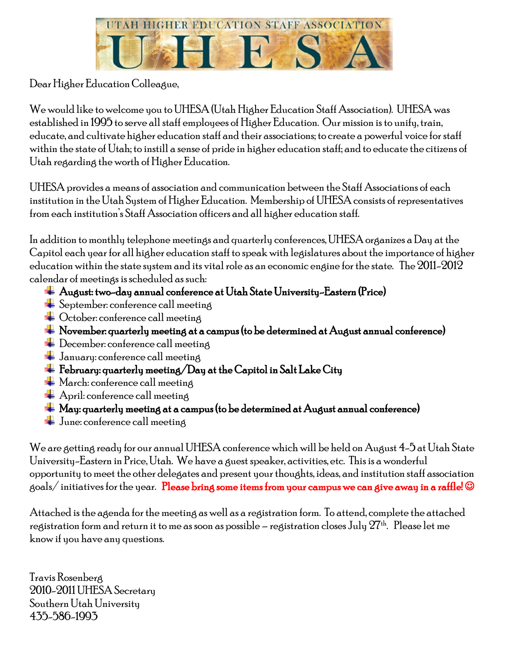

Dear Higher Education Colleague,

We would like to welcome you toUHESA (Utah Higher Education Staff Association). UHESA was established in 1995 to serve all staff employees of Higher Education. Our mission is to unify, train, educate, and cultivate higher education staff and their associations; to create a powerful voice for staff within the state of Utah; to instill a sense of pride in higher education staff; and to educate the citizens of Utah regarding the worth of Higher Education.

UHESA provides a means of association and communication between the Staff Associations of each institution in the Utah System of Higher Education. Membership of UHESA consists of representatives from each institution's Staff Association officers and all higher education staff.

In addition to monthly telephone meetings and quarterly conferences, UHESA organizes a Day at the Capitol each year for all higher education staff to speak with legislatures about the importance of higher education within the state system and its vital role as an economic engine for the state. The 2011-2012 calendar of meetings is scheduled as such:

- August: two-day annual conference at Utah State University-Eastern (Price)
- $\blacktriangleright$  September: conference call meeting
- Cetober: conference call meeting
- $\frac{1}{\sqrt{1-\frac{1}{\sqrt{1-\frac{1}{\sqrt{1-\frac{1}{\sqrt{1-\frac{1}{\sqrt{1-\frac{1}{\sqrt{1-\frac{1}{\sqrt{1-\frac{1}{\sqrt{1-\frac{1}{\sqrt{1-\frac{1}{\sqrt{1-\frac{1}{\sqrt{1-\frac{1}{\sqrt{1-\frac{1}{\sqrt{1-\frac{1}{\sqrt{1-\frac{1}{\sqrt{1-\frac{1}{\sqrt{1-\frac{1}{\sqrt{1-\frac{1}{\sqrt{1-\frac{1}{\sqrt{1-\frac{1}{\sqrt{1-\frac{1}{\sqrt{1-\frac{1}{\sqrt{1-\frac{1}{\sqrt{1-\frac{1}{\sqrt{1-\frac{1$
- $\leftarrow$  December: conference call meeting
- $\frac{1}{\sqrt{2}}$  January: conference call meeting
- $\pm$  February: quarterly meeting/Day at the Capitol in Salt Lake City
- $\textcolor{red}{\blacktriangleleft}$  March: conference call meeting
- $\bigstar$  April: conference call meeting
- $\perp$  May: quarterly meeting at a campus (to be determined at August annual conference)
- $\frac{1}{\sqrt{2}}$  June: conference call meeting

We are getting ready for our annual UHESA conference which will be held on August 4-5 at Utah State University-Eastern in Price, Utah. We have a guest speaker, activities, etc. This is a wonderful opportunity to meet the other delegates and present your thoughts, ideas, and institution staff association goals/initiatives for the year. Please bring some items from your campus we can give away in a raffle!  $\odot$ 

Attached is the agenda for the meeting as well as a registration form. To attend, complete the attached registration form and return it to me as soon as possible – registration closes July  $27<sup>th</sup>$ . Please let me know if you have any questions.

Travis Rosenberg 2010-2011UHESA Secretary Southern Utah University 435-586-1993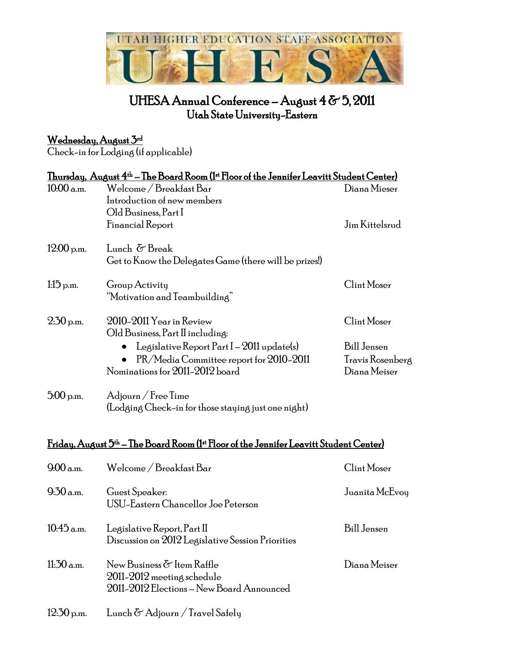

# UHESA Annual Conference - August 4 & 5, 2011 Utah State University-Eastern

# <u>Wednesday, August 3rd</u>

Check-in for Lodging (if applicable)

| <u> Thursday, August 4th – The Board Room (1st Floor of the Jennifer Leavitt Student Center)</u>               |                                                                                  |                    |  |
|----------------------------------------------------------------------------------------------------------------|----------------------------------------------------------------------------------|--------------------|--|
| $10:00$ a.m.                                                                                                   | Welcome / Breakfast Bar                                                          | Diana Mieser       |  |
|                                                                                                                | Introduction of new members                                                      |                    |  |
|                                                                                                                | Old Business, Part I                                                             |                    |  |
|                                                                                                                | Financial Report                                                                 | Jim Kittelsrud     |  |
| $12:00$ p.m.                                                                                                   | Lunch & Break                                                                    |                    |  |
|                                                                                                                | Get to Know the Delegates Game (there will be prizes!)                           |                    |  |
| $1:15$ p.m.                                                                                                    | Group Activity                                                                   | Clint Moser        |  |
|                                                                                                                | "Motivation and Teambuilding"                                                    |                    |  |
| $2.50$ p.m.                                                                                                    | 2010-2011 Year in Review                                                         | Clint Moser        |  |
|                                                                                                                | Old Business, Part II including:                                                 |                    |  |
|                                                                                                                | Legislative Report Part $I - 2011$ update(s)                                     | <b>Bill Jensen</b> |  |
|                                                                                                                | PR/Media Committee report for 2010-2011                                          | Travis Rosenberg   |  |
|                                                                                                                | Nominations for 2011-2012 board                                                  | Diana Meiser       |  |
| $5.00$ p.m.                                                                                                    | $\rm{Adjourn}/\rm{Free\,Time}$                                                   |                    |  |
|                                                                                                                | (Lodging Check-in for those staying just one night)                              |                    |  |
|                                                                                                                |                                                                                  |                    |  |
| Friday, August 5 <sup>th</sup> – The Board Room (1 <sup>st</sup> Floor of the Jennifer Leavitt Student Center) |                                                                                  |                    |  |
| 9.00 a.m.                                                                                                      | Welcome / Breakfast Bar                                                          | Clint Moser        |  |
| 9.30 a.m.                                                                                                      | Guest Speaker:                                                                   | Juanita McEvoy     |  |
|                                                                                                                | USU-Eastern Chancellor Joe Peterson                                              |                    |  |
|                                                                                                                |                                                                                  |                    |  |
| $10.45$ a.m.                                                                                                   | Legislative Report, Part II<br>Discussion on 2012 Legislative Session Priorities | <b>Bill Jensen</b> |  |
|                                                                                                                |                                                                                  |                    |  |
| $11:30$ a.m.                                                                                                   | New Business & Item Raffle                                                       | Diana Meiser       |  |
|                                                                                                                | 2011-2012 meeting schedule                                                       |                    |  |
|                                                                                                                | 2011-2012 Elections - New Board Announced                                        |                    |  |
| $12:30$ p.m.                                                                                                   | Lunch & Adjourn / Travel Safely                                                  |                    |  |